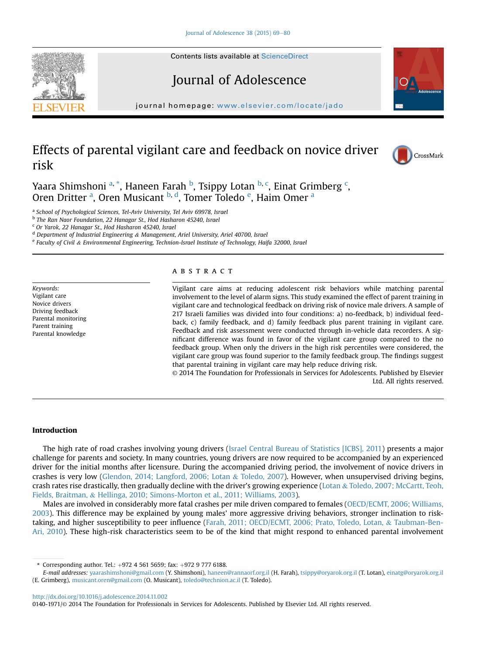Contents lists available at [ScienceDirect](www.sciencedirect.com/science/journal/01401971)

# Journal of Adolescence

journal homepage: [www.elsevier.com/locate/jado](http://www.elsevier.com/locate/jado)

## Effects of parental vigilant care and feedback on novice driver risk



<sup>a</sup> School of Psychological Sciences, Tel-Aviv University, Tel Aviv 69978, Israel

<sup>b</sup> The Ran Naor Foundation, 22 Hanagar St., Hod Hasharon 45240, Israel

<sup>c</sup> Or Yarok, 22 Hanagar St., Hod Hasharon 45240, Israel

<sup>d</sup> Department of Industrial Engineering & Management, Ariel University, Ariel 40700, Israel

<sup>e</sup> Faculty of Civil & Environmental Engineering, Technion-Israel Institute of Technology, Haifa 32000, Israel

## **ABSTRACT**

Vigilant care aims at reducing adolescent risk behaviors while matching parental involvement to the level of alarm signs. This study examined the effect of parent training in vigilant care and technological feedback on driving risk of novice male drivers. A sample of 217 Israeli families was divided into four conditions: a) no-feedback, b) individual feedback, c) family feedback, and d) family feedback plus parent training in vigilant care. Feedback and risk assessment were conducted through in-vehicle data recorders. A significant difference was found in favor of the vigilant care group compared to the no feedback group. When only the drivers in the high risk percentiles were considered, the vigilant care group was found superior to the family feedback group. The findings suggest that parental training in vigilant care may help reduce driving risk.

© 2014 The Foundation for Professionals in Services for Adolescents. Published by Elsevier Ltd. All rights reserved.

### Introduction

Keywords: Vigilant care Novice drivers Driving feedback Parental monitoring Parent training Parental knowledge

The high rate of road crashes involving young drivers ([Israel Central Bureau of Statistics \[ICBS\], 2011](#page-10-0)) presents a major challenge for parents and society. In many countries, young drivers are now required to be accompanied by an experienced driver for the initial months after licensure. During the accompanied driving period, the involvement of novice drivers in crashes is very low [\(Glendon, 2014; Langford, 2006; Lotan](#page-9-0) & [Toledo, 2007](#page-9-0)). However, when unsupervised driving begins, crash rates rise drastically, then gradually decline with the driver's growing experience ([Lotan](#page-10-0) & [Toledo, 2007; McCartt, Teoh,](#page-10-0) [Fields, Braitman,](#page-10-0) & [Hellinga, 2010; Simons-Morton et al., 2011; Williams, 2003](#page-10-0)).

Males are involved in considerably more fatal crashes per mile driven compared to females ([OECD/ECMT, 2006; Williams,](#page-10-0) [2003](#page-10-0)). This difference may be explained by young males' more aggressive driving behaviors, stronger inclination to risktaking, and higher susceptibility to peer influence ([Farah, 2011; OECD/ECMT, 2006; Prato, Toledo, Lotan,](#page-9-0) & [Taubman-Ben-](#page-9-0)[Ari, 2010](#page-9-0)). These high-risk characteristics seem to be of the kind that might respond to enhanced parental involvement

<http://dx.doi.org/10.1016/j.adolescence.2014.11.002>

0140-1971/© 2014 The Foundation for Professionals in Services for Adolescents. Published by Elsevier Ltd. All rights reserved.





CrossMark

<sup>\*</sup> Corresponding author. Tel.:  $+972$  4 561 5659; fax:  $+972$  9 777 6188.

E-mail addresses: [yaarashimshoni@gmail.com](mailto:yaarashimshoni@gmail.com) (Y. Shimshoni), [haneen@rannaorf.org.il](mailto:haneen@rannaorf.org.il) (H. Farah), [tsippy@oryarok.org.il](mailto:tsippy@oryarok.org.il) (T. Lotan), [einatg@oryarok.org.il](mailto:einatg@oryarok.org.il) (E. Grimberg), [musicant.oren@gmail.com](mailto:musicant.oren@gmail.com) (O. Musicant), [toledo@technion.ac.il](mailto:toledo@technion.ac.il) (T. Toledo).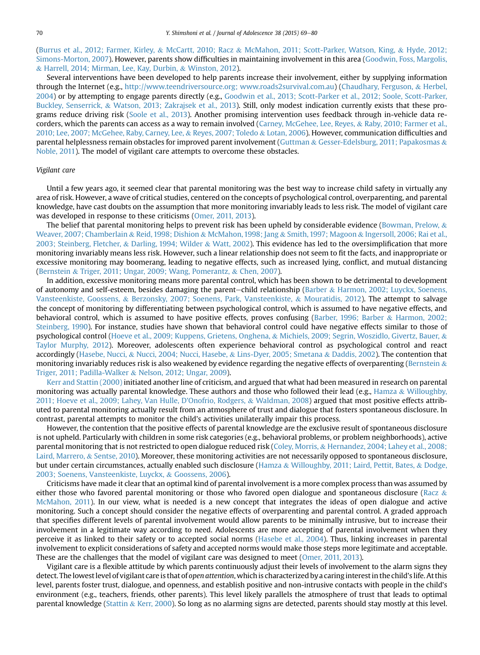[\(Burrus et al., 2012; Farmer, Kirley,](#page-9-0) & [McCartt, 2010; Racz](#page-9-0) & [McMahon, 2011; Scott-Parker, Watson, King,](#page-9-0) & [Hyde, 2012;](#page-9-0) [Simons-Morton, 2007](#page-9-0)). However, parents show difficulties in maintaining involvement in this area ([Goodwin, Foss, Margolis,](#page-10-0) & [Harrell, 2014; Mirman, Lee, Kay, Durbin,](#page-10-0) & [Winston, 2012](#page-10-0)).

Several interventions have been developed to help parents increase their involvement, either by supplying information through the Internet (e.g., [http://www.teendriversource.org; www.roads2survival.com.au](#page-11-0)) ([Chaudhary, Ferguson,](#page-9-0) & [Herbel,](#page-9-0) [2004](#page-9-0)) or by attempting to engage parents directly (e.g., [Goodwin et al., 2013; Scott-Parker et al., 2012; Soole, Scott-Parker,](#page-10-0) [Buckley, Senserrick,](#page-10-0) & [Watson, 2013; Zakrajsek et al., 2013\)](#page-10-0). Still, only modest indication currently exists that these programs reduce driving risk ([Soole et al., 2013\)](#page-11-0). Another promising intervention uses feedback through in-vehicle data recorders, which the parents can access as a way to remain involved ([Carney, McGehee, Lee, Reyes,](#page-9-0) & [Raby, 2010; Farmer et al.,](#page-9-0) [2010; Lee, 2007; McGehee, Raby, Carney, Lee,](#page-9-0) & [Reyes, 2007; Toledo](#page-9-0) & [Lotan, 2006\)](#page-9-0). However, communication difficulties and parental helplessness remain obstacles for improved parent involvement ([Guttman](#page-10-0) & [Gesser-Edelsburg, 2011; Papakosmas](#page-10-0) & [Noble, 2011](#page-10-0)). The model of vigilant care attempts to overcome these obstacles.

#### Vigilant care

Until a few years ago, it seemed clear that parental monitoring was the best way to increase child safety in virtually any area of risk. However, a wave of critical studies, centered on the concepts of psychological control, overparenting, and parental knowledge, have cast doubts on the assumption that more monitoring invariably leads to less risk. The model of vigilant care was developed in response to these criticisms ([Omer, 2011, 2013](#page-10-0)).

The belief that parental monitoring helps to prevent risk has been upheld by considerable evidence [\(Bowman, Prelow,](#page-9-0)  $\&$ [Weaver, 2007; Chamberlain](#page-9-0) & [Reid, 1998; Dishion](#page-9-0) & [McMahon, 1998; Jang](#page-9-0) & [Smith, 1997; Magoon](#page-9-0) & [Ingersoll, 2006; Rai et al.,](#page-9-0) [2003; Steinberg, Fletcher,](#page-9-0) & [Darling, 1994; Wilder](#page-9-0) & [Watt, 2002](#page-9-0)). This evidence has led to the oversimplification that more monitoring invariably means less risk. However, such a linear relationship does not seem to fit the facts, and inappropriate or excessive monitoring may boomerang, leading to negative effects, such as increased lying, conflict, and mutual distancing [\(Bernstein](#page-9-0) & [Triger, 2011; Ungar, 2009; Wang, Pomerantz,](#page-9-0) & [Chen, 2007\)](#page-9-0).

In addition, excessive monitoring means more parental control, which has been shown to be detrimental to development of autonomy and self-esteem, besides damaging the parent-child relationship [\(Barber](#page-9-0) & [Harmon, 2002; Luyckx, Soenens,](#page-9-0) [Vansteenkiste, Goossens,](#page-9-0) & [Berzonsky, 2007; Soenens, Park, Vansteenkiste,](#page-9-0) & [Mouratidis, 2012](#page-9-0)). The attempt to salvage the concept of monitoring by differentiating between psychological control, which is assumed to have negative effects, and behavioral control, which is assumed to have positive effects, proves confusing ([Barber, 1996; Barber](#page-9-0) & [Harmon, 2002;](#page-9-0) [Steinberg, 1990\)](#page-9-0). For instance, studies have shown that behavioral control could have negative effects similar to those of psychological control [\(Hoeve et al., 2009; Kuppens, Grietens, Onghena,](#page-10-0) & [Michiels, 2009; Segrin, Woszidlo, Givertz, Bauer,](#page-10-0) & [Taylor Murphy, 2012\)](#page-10-0). Moreover, adolescents often experience behavioral control as psychological control and react accordingly ([Hasebe, Nucci,](#page-10-0) & [Nucci, 2004; Nucci, Hasebe,](#page-10-0) & [Lins-Dyer, 2005; Smetana](#page-10-0) & [Daddis, 2002\)](#page-10-0). The contention that monitoring invariably reduces risk is also weakened by evidence regarding the negative effects of overparenting [\(Bernstein](#page-9-0)  $\&$ [Triger, 2011; Padilla-Walker](#page-9-0) & [Nelson, 2012; Ungar, 2009](#page-9-0)).

[Kerr and Stattin \(2000\)](#page-10-0) initiated another line of criticism, and argued that what had been measured in research on parental monitoring was actually parental knowledge. These authors and those who followed their lead (e.g., [Hamza](#page-10-0) & [Willoughby,](#page-10-0) [2011; Hoeve et al., 2009; Lahey, Van Hulle, D'Onofrio, Rodgers,](#page-10-0) & [Waldman, 2008\)](#page-10-0) argued that most positive effects attributed to parental monitoring actually result from an atmosphere of trust and dialogue that fosters spontaneous disclosure. In contrast, parental attempts to monitor the child's activities unilaterally impair this process.

However, the contention that the positive effects of parental knowledge are the exclusive result of spontaneous disclosure is not upheld. Particularly with children in some risk categories (e.g., behavioral problems, or problem neighborhoods), active parental monitoring that is not restricted to open dialogue reduced risk ([Coley, Morris,](#page-9-0) & [Hernandez, 2004; Lahey et al., 2008;](#page-9-0) [Laird, Marrero,](#page-9-0) & [Sentse, 2010](#page-9-0)). Moreover, these monitoring activities are not necessarily opposed to spontaneous disclosure, but under certain circumstances, actually enabled such disclosure [\(Hamza](#page-10-0) & [Willoughby, 2011; Laird, Pettit, Bates,](#page-10-0) & [Dodge,](#page-10-0) [2003; Soenens, Vansteenkiste, Luyckx,](#page-10-0) & [Goossens, 2006\)](#page-10-0).

Criticisms have made it clear that an optimal kind of parental involvement is a more complex process than was assumed by either those who favored parental monitoring or those who favored open dialogue and spontaneous disclosure [\(Racz](#page-10-0)  $\&$ [McMahon, 2011\)](#page-10-0). In our view, what is needed is a new concept that integrates the ideas of open dialogue and active monitoring. Such a concept should consider the negative effects of overparenting and parental control. A graded approach that specifies different levels of parental involvement would allow parents to be minimally intrusive, but to increase their involvement in a legitimate way according to need. Adolescents are more accepting of parental involvement when they perceive it as linked to their safety or to accepted social norms [\(Hasebe et al., 2004\)](#page-10-0). Thus, linking increases in parental involvement to explicit considerations of safety and accepted norms would make those steps more legitimate and acceptable. These are the challenges that the model of vigilant care was designed to meet ([Omer, 2011, 2013\)](#page-10-0).

Vigilant care is a flexible attitude by which parents continuously adjust their levels of involvement to the alarm signs they detect. The lowest level of vigilant care is that of open attention, which is characterized by a caring interest in the child's life. At this level, parents foster trust, dialogue, and openness, and establish positive and non-intrusive contacts with people in the child's environment (e.g., teachers, friends, other parents). This level likely parallels the atmosphere of trust that leads to optimal parental knowledge ([Stattin](#page-11-0) & [Kerr, 2000\)](#page-11-0). So long as no alarming signs are detected, parents should stay mostly at this level.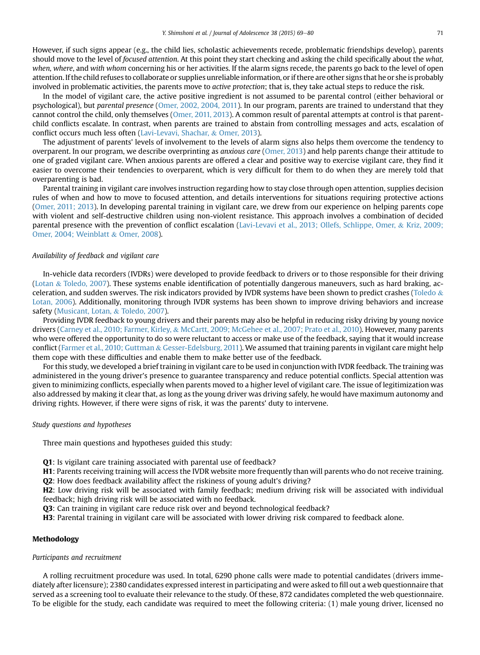However, if such signs appear (e.g., the child lies, scholastic achievements recede, problematic friendships develop), parents should move to the level of focused attention. At this point they start checking and asking the child specifically about the what, when, where, and with whom concerning his or her activities. If the alarm signs recede, the parents go back to the level of open attention. If the child refuses to collaborate or supplies unreliable information, or if there are other signs that he or she is probably involved in problematic activities, the parents move to active protection; that is, they take actual steps to reduce the risk.

In the model of vigilant care, the active positive ingredient is not assumed to be parental control (either behavioral or psychological), but parental presence ([Omer, 2002, 2004, 2011\)](#page-10-0). In our program, parents are trained to understand that they cannot control the child, only themselves [\(Omer, 2011, 2013](#page-10-0)). A common result of parental attempts at control is that parentchild conflicts escalate. In contrast, when parents are trained to abstain from controlling messages and acts, escalation of conflict occurs much less often [\(Lavi-Levavi, Shachar,](#page-10-0) & [Omer, 2013\)](#page-10-0).

The adjustment of parents' levels of involvement to the levels of alarm signs also helps them overcome the tendency to overparent. In our program, we describe overprinting as anxious care ([Omer, 2013\)](#page-10-0) and help parents change their attitude to one of graded vigilant care. When anxious parents are offered a clear and positive way to exercise vigilant care, they find it easier to overcome their tendencies to overparent, which is very difficult for them to do when they are merely told that overparenting is bad.

Parental training in vigilant care involves instruction regarding how to stay close through open attention, supplies decision rules of when and how to move to focused attention, and details interventions for situations requiring protective actions ([Omer, 2011; 2013](#page-10-0)). In developing parental training in vigilant care, we drew from our experience on helping parents cope with violent and self-destructive children using non-violent resistance. This approach involves a combination of decided parental presence with the prevention of conflict escalation ([Lavi-Levavi et al., 2013; Ollefs, Schlippe, Omer,](#page-10-0) & [Kriz, 2009;](#page-10-0) [Omer, 2004; Weinblatt](#page-10-0) & [Omer, 2008\)](#page-10-0).

#### Availability of feedback and vigilant care

In-vehicle data recorders (IVDRs) were developed to provide feedback to drivers or to those responsible for their driving ([Lotan](#page-10-0) & [Toledo, 2007\)](#page-10-0). These systems enable identification of potentially dangerous maneuvers, such as hard braking, ac-celeration, and sudden swerves. The risk indicators provided by IVDR systems have been shown to predict crashes ([Toledo](#page-11-0)  $\&$ [Lotan, 2006\)](#page-11-0). Additionally, monitoring through IVDR systems has been shown to improve driving behaviors and increase safety ([Musicant, Lotan,](#page-10-0) & [Toledo, 2007\)](#page-10-0).

Providing IVDR feedback to young drivers and their parents may also be helpful in reducing risky driving by young novice drivers [\(Carney et al., 2010; Farmer, Kirley,](#page-9-0) & [McCartt, 2009; McGehee et al., 2007; Prato et al., 2010](#page-9-0)). However, many parents who were offered the opportunity to do so were reluctant to access or make use of the feedback, saying that it would increase conflict [\(Farmer et al., 2010; Guttman](#page-9-0) & [Gesser-Edelsburg, 2011\)](#page-9-0). We assumed that training parents in vigilant care might help them cope with these difficulties and enable them to make better use of the feedback.

For this study, we developed a brief training in vigilant care to be used in conjunction with IVDR feedback. The training was administered in the young driver's presence to guarantee transparency and reduce potential conflicts. Special attention was given to minimizing conflicts, especially when parents moved to a higher level of vigilant care. The issue of legitimization was also addressed by making it clear that, as long as the young driver was driving safely, he would have maximum autonomy and driving rights. However, if there were signs of risk, it was the parents' duty to intervene.

#### Study questions and hypotheses

Three main questions and hypotheses guided this study:

- Q1: Is vigilant care training associated with parental use of feedback?
- H1: Parents receiving training will access the IVDR website more frequently than will parents who do not receive training.
- Q2: How does feedback availability affect the riskiness of young adult's driving?
- H2: Low driving risk will be associated with family feedback; medium driving risk will be associated with individual feedback; high driving risk will be associated with no feedback.
- Q3: Can training in vigilant care reduce risk over and beyond technological feedback?
- H3: Parental training in vigilant care will be associated with lower driving risk compared to feedback alone.

### Methodology

#### Participants and recruitment

A rolling recruitment procedure was used. In total, 6290 phone calls were made to potential candidates (drivers immediately after licensure); 2380 candidates expressed interest in participating and were asked to fill out a web questionnaire that served as a screening tool to evaluate their relevance to the study. Of these, 872 candidates completed the web questionnaire. To be eligible for the study, each candidate was required to meet the following criteria: (1) male young driver, licensed no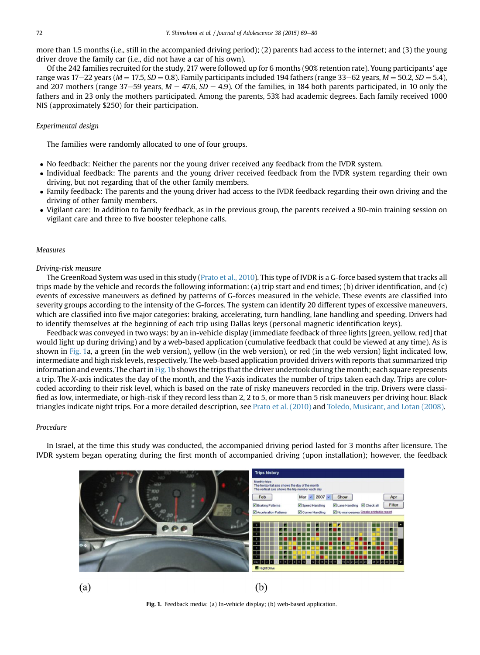more than 1.5 months (i.e., still in the accompanied driving period); (2) parents had access to the internet; and (3) the young driver drove the family car (i.e., did not have a car of his own).

Of the 242 families recruited for the study, 217 were followed up for 6 months (90% retention rate). Young participants' age range was 17-22 years ( $M = 17.5$ ,  $SD = 0.8$ ). Family participants included 194 fathers (range 33-62 years,  $M = 50.2$ ,  $SD = 5.4$ ), and 207 mothers (range 37–59 years,  $M = 47.6$ ,  $SD = 4.9$ ). Of the families, in 184 both parents participated, in 10 only the fathers and in 23 only the mothers participated. Among the parents, 53% had academic degrees. Each family received 1000 NIS (approximately \$250) for their participation.

## Experimental design

The families were randomly allocated to one of four groups.

- No feedback: Neither the parents nor the young driver received any feedback from the IVDR system.
- Individual feedback: The parents and the young driver received feedback from the IVDR system regarding their own driving, but not regarding that of the other family members.
- Family feedback: The parents and the young driver had access to the IVDR feedback regarding their own driving and the driving of other family members.
- Vigilant care: In addition to family feedback, as in the previous group, the parents received a 90-min training session on vigilant care and three to five booster telephone calls.

#### Measures

## Driving-risk measure

The GreenRoad System was used in this study ([Prato et al., 2010\)](#page-10-0). This type of IVDR is a G-force based system that tracks all trips made by the vehicle and records the following information: (a) trip start and end times; (b) driver identification, and (c) events of excessive maneuvers as defined by patterns of G-forces measured in the vehicle. These events are classified into severity groups according to the intensity of the G-forces. The system can identify 20 different types of excessive maneuvers, which are classified into five major categories: braking, accelerating, turn handling, lane handling and speeding. Drivers had to identify themselves at the beginning of each trip using Dallas keys (personal magnetic identification keys).

Feedback was conveyed in two ways: by an in-vehicle display (immediate feedback of three lights [green, yellow, red] that would light up during driving) and by a web-based application (cumulative feedback that could be viewed at any time). As is shown in Fig. 1a, a green (in the web version), yellow (in the web version), or red (in the web version) light indicated low, intermediate and high risk levels, respectively. The web-based application provided drivers with reports that summarized trip information and events. The chart in Fig. 1b shows the trips that the driver undertook during the month; each square represents a trip. The X-axis indicates the day of the month, and the Y-axis indicates the number of trips taken each day. Trips are colorcoded according to their risk level, which is based on the rate of risky maneuvers recorded in the trip. Drivers were classified as low, intermediate, or high-risk if they record less than 2, 2 to 5, or more than 5 risk maneuvers per driving hour. Black triangles indicate night trips. For a more detailed description, see [Prato et al. \(2010\)](#page-10-0) and [Toledo, Musicant, and Lotan \(2008\).](#page-11-0)

#### Procedure

In Israel, at the time this study was conducted, the accompanied driving period lasted for 3 months after licensure. The IVDR system began operating during the first month of accompanied driving (upon installation); however, the feedback

|    |                          | <b>Trips history</b>                                                                                                       |                            |                                       |               |
|----|--------------------------|----------------------------------------------------------------------------------------------------------------------------|----------------------------|---------------------------------------|---------------|
|    | <b>ROOT</b>              | <b>Monthly trips</b><br>The horizontal axis shows the day of the month<br>The vertical axis shows the trip number each day |                            |                                       |               |
|    |                          | Feb                                                                                                                        | Mar $\sim$ 2007 $\sim$     | Show                                  | Apr           |
|    |                          | ■ Braking Patterns                                                                                                         | Speed Handling             | ■ Lane Handling ■ Check all           | Filter        |
|    |                          | Acceleration Patterns                                                                                                      | Corner Handling            | No manoeuvres Create printable report |               |
|    | 000<br><b>CALIFORNIA</b> | $23$<br><b>B</b> B<br>Night Drive                                                                                          | 12 13 14 15 16 17<br>18990 | 19 20 21 22 23 24                     | в<br>■四四四四四 ▼ |
| a) |                          | $\left(\mathbf{b}\right)$                                                                                                  |                            |                                       |               |

Fig. 1. Feedback media: (a) In-vehicle display; (b) web-based application.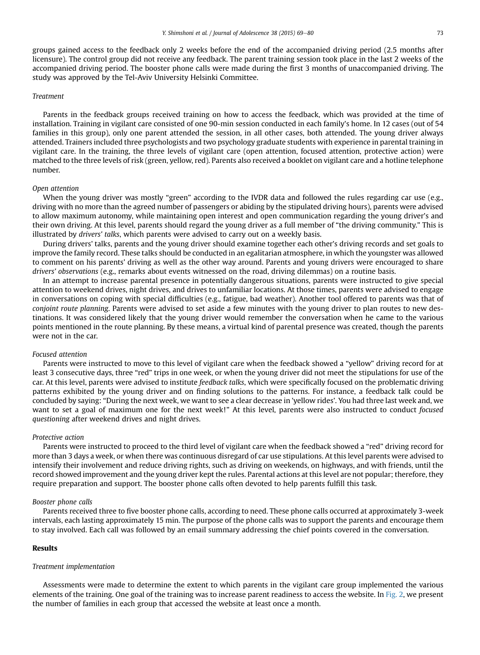groups gained access to the feedback only 2 weeks before the end of the accompanied driving period (2.5 months after licensure). The control group did not receive any feedback. The parent training session took place in the last 2 weeks of the accompanied driving period. The booster phone calls were made during the first 3 months of unaccompanied driving. The study was approved by the Tel-Aviv University Helsinki Committee.

#### Treatment

Parents in the feedback groups received training on how to access the feedback, which was provided at the time of installation. Training in vigilant care consisted of one 90-min session conducted in each family's home. In 12 cases (out of 54 families in this group), only one parent attended the session, in all other cases, both attended. The young driver always attended. Trainers included three psychologists and two psychology graduate students with experience in parental training in vigilant care. In the training, the three levels of vigilant care (open attention, focused attention, protective action) were matched to the three levels of risk (green, yellow, red). Parents also received a booklet on vigilant care and a hotline telephone number.

## Open attention

When the young driver was mostly "green" according to the IVDR data and followed the rules regarding car use (e.g., driving with no more than the agreed number of passengers or abiding by the stipulated driving hours), parents were advised to allow maximum autonomy, while maintaining open interest and open communication regarding the young driver's and their own driving. At this level, parents should regard the young driver as a full member of "the driving community." This is illustrated by drivers' talks, which parents were advised to carry out on a weekly basis.

During drivers' talks, parents and the young driver should examine together each other's driving records and set goals to improve the family record. These talks should be conducted in an egalitarian atmosphere, in which the youngster was allowed to comment on his parents' driving as well as the other way around. Parents and young drivers were encouraged to share drivers' observations (e.g., remarks about events witnessed on the road, driving dilemmas) on a routine basis.

In an attempt to increase parental presence in potentially dangerous situations, parents were instructed to give special attention to weekend drives, night drives, and drives to unfamiliar locations. At those times, parents were advised to engage in conversations on coping with special difficulties (e.g., fatigue, bad weather). Another tool offered to parents was that of conjoint route planning. Parents were advised to set aside a few minutes with the young driver to plan routes to new destinations. It was considered likely that the young driver would remember the conversation when he came to the various points mentioned in the route planning. By these means, a virtual kind of parental presence was created, though the parents were not in the car.

#### Focused attention

Parents were instructed to move to this level of vigilant care when the feedback showed a "yellow" driving record for at least 3 consecutive days, three "red" trips in one week, or when the young driver did not meet the stipulations for use of the car. At this level, parents were advised to institute feedback talks, which were specifically focused on the problematic driving patterns exhibited by the young driver and on finding solutions to the patterns. For instance, a feedback talk could be concluded by saying: "During the next week, we want to see a clear decrease in 'yellow rides'. You had three last week and, we want to set a goal of maximum one for the next week!" At this level, parents were also instructed to conduct focused questioning after weekend drives and night drives.

#### Protective action

Parents were instructed to proceed to the third level of vigilant care when the feedback showed a "red" driving record for more than 3 days a week, or when there was continuous disregard of car use stipulations. At this level parents were advised to intensify their involvement and reduce driving rights, such as driving on weekends, on highways, and with friends, until the record showed improvement and the young driver kept the rules. Parental actions at this level are not popular; therefore, they require preparation and support. The booster phone calls often devoted to help parents fulfill this task.

#### Booster phone calls

Parents received three to five booster phone calls, according to need. These phone calls occurred at approximately 3-week intervals, each lasting approximately 15 min. The purpose of the phone calls was to support the parents and encourage them to stay involved. Each call was followed by an email summary addressing the chief points covered in the conversation.

## Results

#### Treatment implementation

Assessments were made to determine the extent to which parents in the vigilant care group implemented the various elements of the training. One goal of the training was to increase parent readiness to access the website. In [Fig. 2](#page-5-0), we present the number of families in each group that accessed the website at least once a month.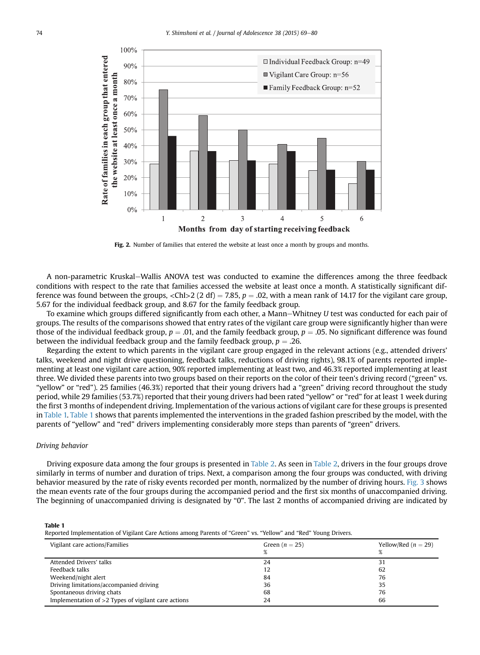<span id="page-5-0"></span>

Fig. 2. Number of families that entered the website at least once a month by groups and months.

A non-parametric Kruskal–Wallis ANOVA test was conducted to examine the differences among the three feedback conditions with respect to the rate that families accessed the website at least once a month. A statistically significant difference was found between the groups, <ChI>2 (2 df) = 7.85, p = .02, with a mean rank of 14.17 for the vigilant care group, 5.67 for the individual feedback group, and 8.67 for the family feedback group.

To examine which groups differed significantly from each other, a Mann-Whitney U test was conducted for each pair of groups. The results of the comparisons showed that entry rates of the vigilant care group were significantly higher than were those of the individual feedback group,  $p = .01$ , and the family feedback group,  $p = .05$ . No significant difference was found between the individual feedback group and the family feedback group,  $p = 0.26$ .

Regarding the extent to which parents in the vigilant care group engaged in the relevant actions (e.g., attended drivers' talks, weekend and night drive questioning, feedback talks, reductions of driving rights), 98.1% of parents reported implementing at least one vigilant care action, 90% reported implementing at least two, and 46.3% reported implementing at least three. We divided these parents into two groups based on their reports on the color of their teen's driving record ("green" vs. "yellow" or "red"). 25 families (46.3%) reported that their young drivers had a "green" driving record throughout the study period, while 29 families (53.7%) reported that their young drivers had been rated "yellow" or "red" for at least 1 week during the first 3 months of independent driving. Implementation of the various actions of vigilant care for these groups is presented in Table 1. Table 1 shows that parents implemented the interventions in the graded fashion prescribed by the model, with the parents of "yellow" and "red" drivers implementing considerably more steps than parents of "green" drivers.

## Driving behavior

Driving exposure data among the four groups is presented in [Table 2.](#page-6-0) As seen in [Table 2,](#page-6-0) drivers in the four groups drove similarly in terms of number and duration of trips. Next, a comparison among the four groups was conducted, with driving behavior measured by the rate of risky events recorded per month, normalized by the number of driving hours. [Fig. 3](#page-6-0) shows the mean events rate of the four groups during the accompanied period and the first six months of unaccompanied driving. The beginning of unaccompanied driving is designated by "0". The last 2 months of accompanied driving are indicated by

#### Table 1

Reported Implementation of Vigilant Care Actions among Parents of "Green" vs. "Yellow" and "Red" Young Drivers.

| Vigilant care actions/Families                        | Green $(n = 25)$<br>% | Yellow/Red $(n = 29)$<br>$\%$ |
|-------------------------------------------------------|-----------------------|-------------------------------|
| Attended Drivers' talks                               | 24                    | 31                            |
| Feedback talks                                        | 12                    | 62                            |
| Weekend/night alert                                   | 84                    | 76                            |
| Driving limitations/accompanied driving               | 36                    | 35                            |
| Spontaneous driving chats                             | 68                    | 76                            |
| Implementation of $>2$ Types of vigilant care actions | 24                    | 66                            |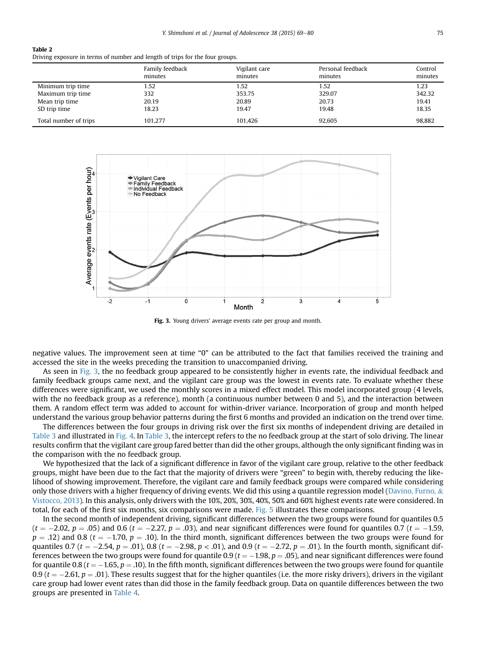#### <span id="page-6-0"></span>Table 2

Driving exposure in terms of number and length of trips for the four groups.

|                       | Family feedback<br>minutes | Vigilant care<br>minutes | Personal feedback<br>minutes | Control<br>minutes |
|-----------------------|----------------------------|--------------------------|------------------------------|--------------------|
| Minimum trip time     | 1.52                       | 1.52                     | 1.52                         | 1.23               |
| Maximum trip time     | 332                        | 353.75                   | 329.07                       | 342.32             |
| Mean trip time        | 20.19                      | 20.89                    | 20.73                        | 19.41              |
| SD trip time          | 18.23                      | 19.47                    | 19.48                        | 18.35              |
| Total number of trips | 101.277                    | 101.426                  | 92,605                       | 98,882             |



Fig. 3. Young drivers' average events rate per group and month.

negative values. The improvement seen at time "0" can be attributed to the fact that families received the training and accessed the site in the weeks preceding the transition to unaccompanied driving.

As seen in Fig. 3, the no feedback group appeared to be consistently higher in events rate, the individual feedback and family feedback groups came next, and the vigilant care group was the lowest in events rate. To evaluate whether these differences were significant, we used the monthly scores in a mixed effect model. This model incorporated group (4 levels, with the no feedback group as a reference), month (a continuous number between 0 and 5), and the interaction between them. A random effect term was added to account for within-driver variance. Incorporation of group and month helped understand the various group behavior patterns during the first 6 months and provided an indication on the trend over time.

The differences between the four groups in driving risk over the first six months of independent driving are detailed in [Table 3](#page-7-0) and illustrated in [Fig. 4](#page-7-0). In [Table 3](#page-7-0), the intercept refers to the no feedback group at the start of solo driving. The linear results confirm that the vigilant care group fared better than did the other groups, although the only significant finding was in the comparison with the no feedback group.

We hypothesized that the lack of a significant difference in favor of the vigilant care group, relative to the other feedback groups, might have been due to the fact that the majority of drivers were "green" to begin with, thereby reducing the likelihood of showing improvement. Therefore, the vigilant care and family feedback groups were compared while considering only those drivers with a higher frequency of driving events. We did this using a quantile regression model ([Davino, Furno,](#page-9-0)  $\&$ [Vistocco, 2013](#page-9-0)). In this analysis, only drivers with the 10%, 20%, 30%, 40%, 50% and 60% highest events rate were considered. In total, for each of the first six months, six comparisons were made. [Fig. 5](#page-8-0) illustrates these comparisons.

In the second month of independent driving, significant differences between the two groups were found for quantiles 0.5  $(t = -2.02, p = .05)$  and 0.6  $(t = -2.27, p = .03)$ , and near significant differences were found for quantiles 0.7  $(t = -1.59,$  $p = .12$ ) and 0.8 ( $t = -1.70$ ,  $p = .10$ ). In the third month, significant differences between the two groups were found for quantiles 0.7 ( $t = -2.54$ ,  $p = .01$ ), 0.8 ( $t = -2.98$ ,  $p < .01$ ), and 0.9 ( $t = -2.72$ ,  $p = .01$ ). In the fourth month, significant differences between the two groups were found for quantile 0.9 ( $t = -1.98$ ,  $p = .05$ ), and near significant differences were found for quantile 0.8 ( $t = -1.65$ ,  $p = .10$ ). In the fifth month, significant differences between the two groups were found for quantile 0.9 ( $t = -2.61$ ,  $p = .01$ ). These results suggest that for the higher quantiles (i.e. the more risky drivers), drivers in the vigilant care group had lower event rates than did those in the family feedback group. Data on quantile differences between the two groups are presented in [Table 4](#page-8-0).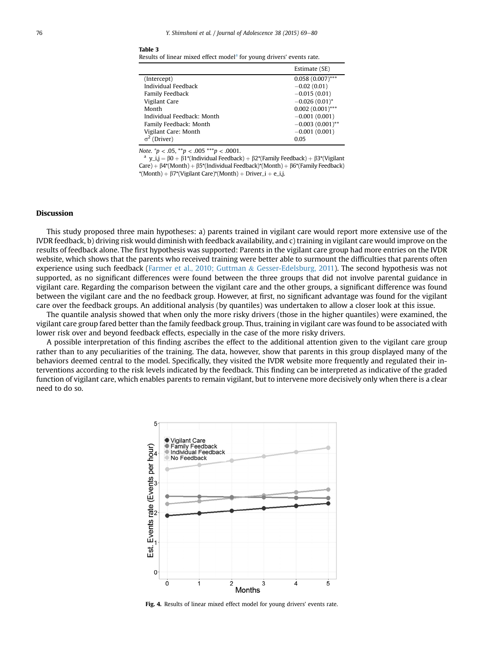<span id="page-7-0"></span>Table 3

Results of linear mixed effect model<sup> $a$ </sup> for young drivers' events rate.

|                            | Estimate (SE)      |
|----------------------------|--------------------|
| (Intercept)                | $0.058(0.007)$ *** |
| Individual Feedback        | $-0.02(0.01)$      |
| Family Feedback            | $-0.015(0.01)$     |
| Vigilant Care              | $-0.026(0.01)^{*}$ |
| Month                      | $0.002(0.001)$ *** |
| Individual Feedback: Month | $-0.001(0.001)$    |
| Family Feedback: Month     | $-0.003(0.001)$ ** |
| Vigilant Care: Month       | $-0.001(0.001)$    |
| $\sigma^2$ (Driver)        | 0.05               |

Note.  $p < .05$ ,  $p > .005$ ,  $p < .0001$ .

<sup>a</sup> y\_i,j =  $\beta$ 0 +  $\beta$ 1\*(Individual Feedback) +  $\beta$ 2\*(Family Feedback) +  $\beta$ 3\*(Vigilant  $Care) + \beta4*(Month) + \beta5*(Individual Feedback)*(Month) + \beta6*(Family Feedback)$ \*(Month) +  $\beta$ 7\*(Vigilant Care)\*(Month) + Driver\_i + e\_i,j.

## Discussion

This study proposed three main hypotheses: a) parents trained in vigilant care would report more extensive use of the IVDR feedback, b) driving risk would diminish with feedback availability, and c) training in vigilant care would improve on the results of feedback alone. The first hypothesis was supported: Parents in the vigilant care group had more entries on the IVDR website, which shows that the parents who received training were better able to surmount the difficulties that parents often experience using such feedback [\(Farmer et al., 2010; Guttman](#page-9-0) & [Gesser-Edelsburg, 2011\)](#page-9-0). The second hypothesis was not supported, as no significant differences were found between the three groups that did not involve parental guidance in vigilant care. Regarding the comparison between the vigilant care and the other groups, a significant difference was found between the vigilant care and the no feedback group. However, at first, no significant advantage was found for the vigilant care over the feedback groups. An additional analysis (by quantiles) was undertaken to allow a closer look at this issue.

The quantile analysis showed that when only the more risky drivers (those in the higher quantiles) were examined, the vigilant care group fared better than the family feedback group. Thus, training in vigilant care was found to be associated with lower risk over and beyond feedback effects, especially in the case of the more risky drivers.

A possible interpretation of this finding ascribes the effect to the additional attention given to the vigilant care group rather than to any peculiarities of the training. The data, however, show that parents in this group displayed many of the behaviors deemed central to the model. Specifically, they visited the IVDR website more frequently and regulated their interventions according to the risk levels indicated by the feedback. This finding can be interpreted as indicative of the graded function of vigilant care, which enables parents to remain vigilant, but to intervene more decisively only when there is a clear need to do so.



Fig. 4. Results of linear mixed effect model for young drivers' events rate.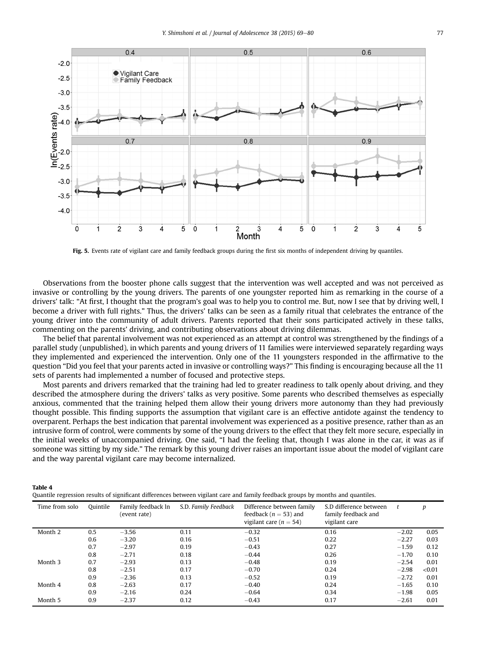<span id="page-8-0"></span>

Fig. 5. Events rate of vigilant care and family feedback groups during the first six months of independent driving by quantiles.

Observations from the booster phone calls suggest that the intervention was well accepted and was not perceived as invasive or controlling by the young drivers. The parents of one youngster reported him as remarking in the course of a drivers' talk: "At first, I thought that the program's goal was to help you to control me. But, now I see that by driving well, I become a driver with full rights." Thus, the drivers' talks can be seen as a family ritual that celebrates the entrance of the young driver into the community of adult drivers. Parents reported that their sons participated actively in these talks, commenting on the parents' driving, and contributing observations about driving dilemmas.

The belief that parental involvement was not experienced as an attempt at control was strengthened by the findings of a parallel study (unpublished), in which parents and young drivers of 11 families were interviewed separately regarding ways they implemented and experienced the intervention. Only one of the 11 youngsters responded in the affirmative to the question "Did you feel that your parents acted in invasive or controlling ways?" This finding is encouraging because all the 11 sets of parents had implemented a number of focused and protective steps.

Most parents and drivers remarked that the training had led to greater readiness to talk openly about driving, and they described the atmosphere during the drivers' talks as very positive. Some parents who described themselves as especially anxious, commented that the training helped them allow their young drivers more autonomy than they had previously thought possible. This finding supports the assumption that vigilant care is an effective antidote against the tendency to overparent. Perhaps the best indication that parental involvement was experienced as a positive presence, rather than as an intrusive form of control, were comments by some of the young drivers to the effect that they felt more secure, especially in the initial weeks of unaccompanied driving. One said, "I had the feeling that, though I was alone in the car, it was as if someone was sitting by my side." The remark by this young driver raises an important issue about the model of vigilant care and the way parental vigilant care may become internalized.

| Table 4<br>Quantile regression results of significant differences between vigilant care and family feedback groups by months and quantiles. |          |                                    |                      |                                                                                      |                                                                |         |        |
|---------------------------------------------------------------------------------------------------------------------------------------------|----------|------------------------------------|----------------------|--------------------------------------------------------------------------------------|----------------------------------------------------------------|---------|--------|
| Time from solo                                                                                                                              | Ouintile | Family feedback In<br>(event rate) | S.D. Family Feedback | Difference between family<br>feedback ( $n = 53$ ) and<br>vigilant care ( $n = 54$ ) | S.D difference between<br>family feedback and<br>vigilant care |         | p      |
| Month 2                                                                                                                                     | 0.5      | $-3.56$                            | 0.11                 | $-0.32$                                                                              | 0.16                                                           | $-2.02$ | 0.05   |
|                                                                                                                                             | 0.6      | $-3.20$                            | 0.16                 | $-0.51$                                                                              | 0.22                                                           | $-2.27$ | 0.03   |
|                                                                                                                                             | 0.7      | $-2.97$                            | 0.19                 | $-0.43$                                                                              | 0.27                                                           | $-1.59$ | 0.12   |
|                                                                                                                                             | 0.8      | $-2.71$                            | 0.18                 | $-0.44$                                                                              | 0.26                                                           | $-1.70$ | 0.10   |
| Month 3                                                                                                                                     | 0.7      | $-2.93$                            | 0.13                 | $-0.48$                                                                              | 0.19                                                           | $-2.54$ | 0.01   |
|                                                                                                                                             | 0.8      | $-2.51$                            | 0.17                 | $-0.70$                                                                              | 0.24                                                           | $-2.98$ | < 0.01 |
|                                                                                                                                             | 0.9      | $-2.36$                            | 0.13                 | $-0.52$                                                                              | 0.19                                                           | $-2.72$ | 0.01   |
| Month 4                                                                                                                                     | 0.8      | $-2.63$                            | 0.17                 | $-0.40$                                                                              | 0.24                                                           | $-1.65$ | 0.10   |
|                                                                                                                                             | 0.9      | $-2.16$                            | 0.24                 | $-0.64$                                                                              | 0.34                                                           | $-1.98$ | 0.05   |
| Month 5                                                                                                                                     | 0.9      | $-2.37$                            | 0.12                 | $-0.43$                                                                              | 0.17                                                           | $-2.61$ | 0.01   |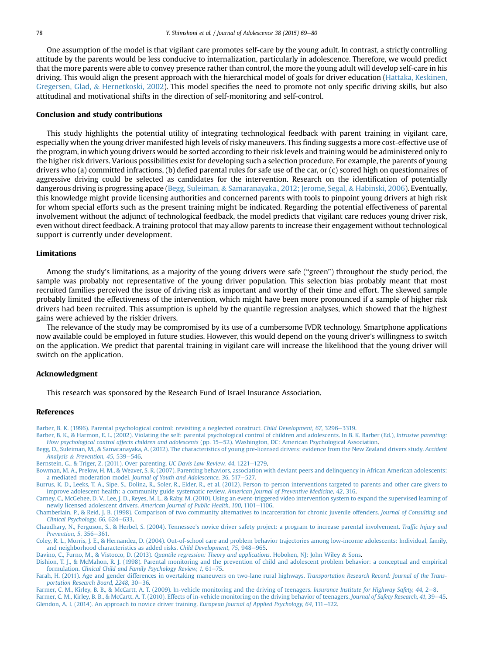<span id="page-9-0"></span>One assumption of the model is that vigilant care promotes self-care by the young adult. In contrast, a strictly controlling attitude by the parents would be less conducive to internalization, particularly in adolescence. Therefore, we would predict that the more parents were able to convey presence rather than control, the more the young adult will develop self-care in his driving. This would align the present approach with the hierarchical model of goals for driver education ([Hattaka, Keskinen,](#page-10-0) [Gregersen, Glad,](#page-10-0) & [Hernetkoski, 2002\)](#page-10-0). This model specifies the need to promote not only specific driving skills, but also attitudinal and motivational shifts in the direction of self-monitoring and self-control.

#### Conclusion and study contributions

This study highlights the potential utility of integrating technological feedback with parent training in vigilant care, especially when the young driver manifested high levels of risky maneuvers. This finding suggests a more cost-effective use of the program, in which young drivers would be sorted according to their risk levels and training would be administered only to the higher risk drivers. Various possibilities exist for developing such a selection procedure. For example, the parents of young drivers who (a) committed infractions, (b) defied parental rules for safe use of the car, or (c) scored high on questionnaires of aggressive driving could be selected as candidates for the intervention. Research on the identification of potentially dangerous driving is progressing apace (Begg, Suleiman, & Samaranayaka., 2012; Jerome, Segal, & Habinski, 2006). Eventually, this knowledge might provide licensing authorities and concerned parents with tools to pinpoint young drivers at high risk for whom special efforts such as the present training might be indicated. Regarding the potential effectiveness of parental involvement without the adjunct of technological feedback, the model predicts that vigilant care reduces young driver risk, even without direct feedback. A training protocol that may allow parents to increase their engagement without technological support is currently under development.

#### Limitations

Among the study's limitations, as a majority of the young drivers were safe ("green") throughout the study period, the sample was probably not representative of the young driver population. This selection bias probably meant that most recruited families perceived the issue of driving risk as important and worthy of their time and effort. The skewed sample probably limited the effectiveness of the intervention, which might have been more pronounced if a sample of higher risk drivers had been recruited. This assumption is upheld by the quantile regression analyses, which showed that the highest gains were achieved by the riskier drivers.

The relevance of the study may be compromised by its use of a cumbersome IVDR technology. Smartphone applications now available could be employed in future studies. However, this would depend on the young driver's willingness to switch on the application. We predict that parental training in vigilant care will increase the likelihood that the young driver will switch on the application.

#### Acknowledgment

This research was sponsored by the Research Fund of Israel Insurance Association.

#### **References**

[Barber, B. K. \(1996\). Parental psychological control: revisiting a neglected construct.](http://refhub.elsevier.com/S0140-1971(14)00194-8/sref1) Child Development, 67, 3296–[3319](http://refhub.elsevier.com/S0140-1971(14)00194-8/sref1).

[Barber, B. K., & Harmon, E. L. \(2002\). Violating the self: parental psychological control of children and adolescents. In B. K. Barber \(Ed.\),](http://refhub.elsevier.com/S0140-1971(14)00194-8/sref2) Intrusive parenting: [How psychological control affects children and adolescents](http://refhub.elsevier.com/S0140-1971(14)00194-8/sref2) (pp. 15-[52\). Washington, DC: American Psychological Association.](http://refhub.elsevier.com/S0140-1971(14)00194-8/sref2)

[Begg, D., Suleiman, M., & Samaranayaka, A. \(2012\). The characteristics of young pre-licensed drivers: evidence from the New Zealand drivers study.](http://refhub.elsevier.com/S0140-1971(14)00194-8/sref3) Accident [Analysis](http://refhub.elsevier.com/S0140-1971(14)00194-8/sref3) & [Prevention, 45](http://refhub.elsevier.com/S0140-1971(14)00194-8/sref3), 539-[546.](http://refhub.elsevier.com/S0140-1971(14)00194-8/sref3)

[Bernstein, G., & Triger, Z. \(2011\). Over-parenting.](http://refhub.elsevier.com/S0140-1971(14)00194-8/sref4) UC Davis Law Review, 44, 1221-[1279.](http://refhub.elsevier.com/S0140-1971(14)00194-8/sref4)

[Bowman, M. A., Prelow, H. M., & Weaver, S. R. \(2007\). Parenting behaviors, association with deviant peers and delinquency in African American adolescents:](http://refhub.elsevier.com/S0140-1971(14)00194-8/sref5) a mediated-moderation model. [Journal of Youth and Adolescence, 36](http://refhub.elsevier.com/S0140-1971(14)00194-8/sref5), 517-[527.](http://refhub.elsevier.com/S0140-1971(14)00194-8/sref5)

[Burrus, K. D., Leeks, T. A., Sipe, S., Dolina, R., Soler, R., Elder, R., et al. \(2012\). Person-to-person interventions targeted to parents and other care givers to](http://refhub.elsevier.com/S0140-1971(14)00194-8/sref6) [improve adolescent health: a community guide systematic review.](http://refhub.elsevier.com/S0140-1971(14)00194-8/sref6) American Journal of Preventive Medicine, 42, 316.

[Carney, C., McGehee, D. V., Lee, J. D., Reyes, M. L., & Raby, M. \(2010\). Using an event-triggered video intervention system to expand the supervised learning of](http://refhub.elsevier.com/S0140-1971(14)00194-8/sref7) newly licensed adolescent drivers. [American Journal of Public Health, 100](http://refhub.elsevier.com/S0140-1971(14)00194-8/sref7), 1101-[1106.](http://refhub.elsevier.com/S0140-1971(14)00194-8/sref7)

[Chamberlain, P., & Reid, J. B. \(1998\). Comparison of two community alternatives to incarceration for chronic juvenile offenders.](http://refhub.elsevier.com/S0140-1971(14)00194-8/sref8) Journal of Consulting and [Clinical Psychology, 66](http://refhub.elsevier.com/S0140-1971(14)00194-8/sref8), 624-[633.](http://refhub.elsevier.com/S0140-1971(14)00194-8/sref8)

[Chaudhary, N., Ferguson, S., & Herbel, S. \(2004\). Tennessee's novice driver safety project: a program to increase parental involvement.](http://refhub.elsevier.com/S0140-1971(14)00194-8/sref9) Traffic Injury and [Prevention, 5](http://refhub.elsevier.com/S0140-1971(14)00194-8/sref9), 356-[361.](http://refhub.elsevier.com/S0140-1971(14)00194-8/sref9)

[Coley, R. L., Morris, J. E., & Hernandez, D. \(2004\). Out-of-school care and problem behavior trajectories among low-income adolescents: Individual, family,](http://refhub.elsevier.com/S0140-1971(14)00194-8/sref10) [and neighborhood characteristics as added risks.](http://refhub.elsevier.com/S0140-1971(14)00194-8/sref10) Child Development, 75, 948-[965.](http://refhub.elsevier.com/S0140-1971(14)00194-8/sref10)

[Davino, C., Furno, M., & Vistocco, D. \(2013\).](http://refhub.elsevier.com/S0140-1971(14)00194-8/sref11) Quantile regression: Theory and applications. Hoboken, NJ: John Wiley & [Sons](http://refhub.elsevier.com/S0140-1971(14)00194-8/sref11).

[Dishion, T. J., & McMahon, R. J. \(1998\). Parental monitoring and the prevention of child and adolescent problem behavior: a conceptual and empirical](http://refhub.elsevier.com/S0140-1971(14)00194-8/sref12) formulation. [Clinical Child and Family Psychology Review, 1](http://refhub.elsevier.com/S0140-1971(14)00194-8/sref12), 61-[75](http://refhub.elsevier.com/S0140-1971(14)00194-8/sref12).

[Farah, H. \(2011\). Age and gender differences in overtaking maneuvers on two-lane rural highways.](http://refhub.elsevier.com/S0140-1971(14)00194-8/sref13) Transportation Research Record: Journal of the Trans[portation Research Board, 2248](http://refhub.elsevier.com/S0140-1971(14)00194-8/sref13), 30-[36](http://refhub.elsevier.com/S0140-1971(14)00194-8/sref13).

[Farmer, C. M., Kirley, B. B., & McCartt, A. T. \(2009\). In-vehicle monitoring and the driving of teenagers.](http://refhub.elsevier.com/S0140-1971(14)00194-8/sref14) Insurance Institute for Highway Safety, 44, 2-[8](http://refhub.elsevier.com/S0140-1971(14)00194-8/sref14). [Farmer, C. M., Kirley, B. B., & McCartt, A. T. \(2010\). Effects of in-vehicle monitoring on the driving behavior of teenagers.](http://refhub.elsevier.com/S0140-1971(14)00194-8/sref15) Journal of Safety Research, 41, 39–[45.](http://refhub.elsevier.com/S0140-1971(14)00194-8/sref15)

[Glendon, A. I. \(2014\). An approach to novice driver training.](http://refhub.elsevier.com/S0140-1971(14)00194-8/sref16) European Journal of Applied Psychology, 64, 111-[122.](http://refhub.elsevier.com/S0140-1971(14)00194-8/sref16)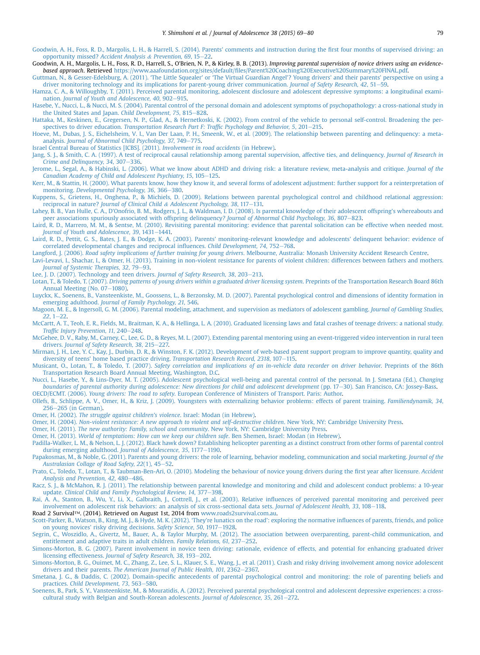- <span id="page-10-0"></span>[Goodwin, A. H., Foss, R. D., Margolis, L. H., & Harrell, S. \(2014\). Parents' comments and instruction during the](http://refhub.elsevier.com/S0140-1971(14)00194-8/sref17) first four months of supervised driving: an [opportunity missed?](http://refhub.elsevier.com/S0140-1971(14)00194-8/sref17) Accident Analysis & [Prevention, 69](http://refhub.elsevier.com/S0140-1971(14)00194-8/sref17), 15-[22](http://refhub.elsevier.com/S0140-1971(14)00194-8/sref17).
- Goodwin, A. H., Margolis, L. H., Foss, R. D., Harrell, S., O'Brien, N. P., & Kirley, B. B. (2013). Improving parental supervision of novice drivers using an evidencebased approach. Retrieved https://www.aaafoundation.org/sites/default/fi[les/Parent%20Coaching%20Executive%20Summary%20FINAL.pdf](https://www.aaafoundation.org/sites/default/files/Parent%20Coaching%20Executive%20Summary%20FINAL.pdf).
- Guttman, N., & Gesser-Edelsburg, A. (2011). 'The Little Squealer' or 'The Virtual Guardian Angel'[? Young drivers' and their parents' perspective on using a](http://refhub.elsevier.com/S0140-1971(14)00194-8/sref19) [driver monitoring technology and its implications for parent-young driver communication.](http://refhub.elsevier.com/S0140-1971(14)00194-8/sref19) Journal of Safety Research, 42, 51-[59](http://refhub.elsevier.com/S0140-1971(14)00194-8/sref19).
- [Hamza, C. A., & Willoughby, T. \(2011\). Perceived parental monitoring, adolescent disclosure and adolescent depressive symptoms: a longitudinal exami-](http://refhub.elsevier.com/S0140-1971(14)00194-8/sref20)nation. [Journal of Youth and Adolescence, 40](http://refhub.elsevier.com/S0140-1971(14)00194-8/sref20), 902-[915.](http://refhub.elsevier.com/S0140-1971(14)00194-8/sref20)
- [Hasebe, Y., Nucci, L., & Nucci, M. S. \(2004\). Parental control of the personal domain and adolescent symptoms of psychopathology: a cross-national study in](http://refhub.elsevier.com/S0140-1971(14)00194-8/sref21) [the United States and Japan.](http://refhub.elsevier.com/S0140-1971(14)00194-8/sref21) Child Development, 75, 815-[828](http://refhub.elsevier.com/S0140-1971(14)00194-8/sref21).
- [Hattaka, M., Keskinen, E., Gregersen, N. P., Glad, A., & Hernetkoski, K. \(2002\). From control of the vehicle to personal self-control. Broadening the](http://refhub.elsevier.com/S0140-1971(14)00194-8/sref22) per-spectives to driver education. [Transportation Research Part F: Traf](http://refhub.elsevier.com/S0140-1971(14)00194-8/sref22)fic Psychology and Behavior, 5, 201-[215](http://refhub.elsevier.com/S0140-1971(14)00194-8/sref22).
- [Hoeve, M., Dubas, J. S., Eichelsheim, V. I., Van Der Laan, P. H., Smeenk, W., et al. \(2009\). The relationship between parenting and delinquency: a meta-](http://refhub.elsevier.com/S0140-1971(14)00194-8/sref23)analysis. [Journal of Abnormal Child Psychology, 37](http://refhub.elsevier.com/S0140-1971(14)00194-8/sref23), 749-[775.](http://refhub.elsevier.com/S0140-1971(14)00194-8/sref23)
- [Israel Central Bureau of Statistics \[ICBS\]. \(2011\).](http://refhub.elsevier.com/S0140-1971(14)00194-8/sref24) Involvement in road accidents (in Hebrew).
- [Jang, S. J., & Smith, C. A. \(1997\). A test of reciprocal causal relationship among parental supervision, affective ties, and delinquency.](http://refhub.elsevier.com/S0140-1971(14)00194-8/sref25) Journal of Research in [Crime and Delinquency, 34](http://refhub.elsevier.com/S0140-1971(14)00194-8/sref25), 307-[336](http://refhub.elsevier.com/S0140-1971(14)00194-8/sref25).
- [Jerome, L., Segal, A., & Habinski, L. \(2006\). What we know about ADHD and driving risk: a literature review, meta-analysis and critique.](http://refhub.elsevier.com/S0140-1971(14)00194-8/sref26) Journal of the [Canadian Academy of Child and Adolescent Psychiatry, 15](http://refhub.elsevier.com/S0140-1971(14)00194-8/sref26), 105-[125.](http://refhub.elsevier.com/S0140-1971(14)00194-8/sref26)
- [Kerr, M., & Stattin, H. \(2000\). What parents know, how they know it, and several forms of adolescent adjustment: further support for a reinterpretation of](http://refhub.elsevier.com/S0140-1971(14)00194-8/sref27) monitoring. [Developmental Psychology, 36](http://refhub.elsevier.com/S0140-1971(14)00194-8/sref27), 366-[380](http://refhub.elsevier.com/S0140-1971(14)00194-8/sref27).
- [Kuppens, S., Grietens, H., Onghena, P., & Michiels, D. \(2009\). Relations between parental psychological control and childhood relational aggression:](http://refhub.elsevier.com/S0140-1971(14)00194-8/sref28) reciprocal in nature? [Journal of Clinical Child](http://refhub.elsevier.com/S0140-1971(14)00194-8/sref28) & [Adolescent Psychology, 38](http://refhub.elsevier.com/S0140-1971(14)00194-8/sref28), 117-[131.](http://refhub.elsevier.com/S0140-1971(14)00194-8/sref28)
- [Lahey, B. B., Van Hulle, C. A., D'Onofrio, B. M., Rodgers, J. L., & Waldman, I. D. \(2008\). Is parental knowledge of their adolescent offspring's whereabouts and](http://refhub.elsevier.com/S0140-1971(14)00194-8/sref29) [peer associations spuriously associated with offspring delinquency](http://refhub.elsevier.com/S0140-1971(14)00194-8/sref29)? Journal of Abnormal Child Psychology, 36, 807-[823](http://refhub.elsevier.com/S0140-1971(14)00194-8/sref29).
- [Laird, R. D., Marrero, M. M., & Sentse, M. \(2010\). Revisiting parental monitoring: evidence that parental solicitation can be effective when needed most.](http://refhub.elsevier.com/S0140-1971(14)00194-8/sref30) [Journal of Youth and Adolescence, 39](http://refhub.elsevier.com/S0140-1971(14)00194-8/sref30), 1431-[1441.](http://refhub.elsevier.com/S0140-1971(14)00194-8/sref30)
- [Laird, R. D., Pettit, G. S., Bates, J. E., & Dodge, K. A. \(2003\). Parents' monitoring-relevant knowledge and adolescents' delinquent behavior: evidence of](http://refhub.elsevier.com/S0140-1971(14)00194-8/sref31) [correlated developmental changes and reciprocal in](http://refhub.elsevier.com/S0140-1971(14)00194-8/sref31)fluences. Child Development, 74, 752-[768](http://refhub.elsevier.com/S0140-1971(14)00194-8/sref31).
- Langford, J. (2006). Road safety implications of further training for young drivers[. Melbourne, Australia: Monash University Accident Research Centre.](http://refhub.elsevier.com/S0140-1971(14)00194-8/sref32)
- [Lavi-Levavi, I., Shachar, I., & Omer, H. \(2013\). Training in non-violent resistance for parents of violent children: differences between fathers and mothers.](http://refhub.elsevier.com/S0140-1971(14)00194-8/sref33) [Journal of Systemic Therapies, 32](http://refhub.elsevier.com/S0140-1971(14)00194-8/sref33), 79-[93.](http://refhub.elsevier.com/S0140-1971(14)00194-8/sref33)
- [Lee, J. D. \(2007\). Technology and teen drivers.](http://refhub.elsevier.com/S0140-1971(14)00194-8/sref34) Journal of Safety Research, 38, 203-[213.](http://refhub.elsevier.com/S0140-1971(14)00194-8/sref34)
- Lotan, T., & Toledo, T. (2007). [Driving patterns of young drivers within a graduated driver licensing system](http://refhub.elsevier.com/S0140-1971(14)00194-8/sref35). Preprints of the Transportation Research Board 86th [Annual Meeting \(No. 07](http://refhub.elsevier.com/S0140-1971(14)00194-8/sref35)-[1080\).](http://refhub.elsevier.com/S0140-1971(14)00194-8/sref35)
- [Luyckx, K., Soenens, B., Vansteenkiste, M., Goossens, L., & Berzonsky, M. D. \(2007\). Parental psychological control and dimensions of identity formation in](http://refhub.elsevier.com/S0140-1971(14)00194-8/sref36) emerging adulthood. [Journal of Family Psychology, 21](http://refhub.elsevier.com/S0140-1971(14)00194-8/sref36), 546.
- [Magoon, M. E., & Ingersoll, G. M. \(2006\). Parental modeling, attachment, and supervision as mediators of adolescent gambling.](http://refhub.elsevier.com/S0140-1971(14)00194-8/sref37) Journal of Gambling Studies,  $22.1 - 22$  $22.1 - 22$
- [McCartt, A. T., Teoh, E. R., Fields, M., Braitman, K. A., & Hellinga, L. A. \(2010\). Graduated licensing laws and fatal crashes of teenage drivers: a national study.](http://refhub.elsevier.com/S0140-1971(14)00194-8/sref39) Traffi[c Injury Prevention, 11](http://refhub.elsevier.com/S0140-1971(14)00194-8/sref39), 240-[248](http://refhub.elsevier.com/S0140-1971(14)00194-8/sref39).
- [McGehee, D. V., Raby, M., Carney, C., Lee, G. D., & Reyes, M. L. \(2007\). Extending parental mentoring using an event-triggered video intervention in rural teen](http://refhub.elsevier.com/S0140-1971(14)00194-8/sref40) drivers. [Journal of Safety Research, 38](http://refhub.elsevier.com/S0140-1971(14)00194-8/sref40), 215-[227.](http://refhub.elsevier.com/S0140-1971(14)00194-8/sref40)
- [Mirman, J. H., Lee, Y. C., Kay, J., Durbin, D. R., & Winston, F. K. \(2012\). Development of web-based parent support program to improve quantity, quality](http://refhub.elsevier.com/S0140-1971(14)00194-8/sref41) and [diversity of teens' home based practice driving.](http://refhub.elsevier.com/S0140-1971(14)00194-8/sref41) Transportation Research Record, 2318, 107-[115.](http://refhub.elsevier.com/S0140-1971(14)00194-8/sref41)
- Musicant, O., Lotan, T., & Toledo, T. (2007). [Safety correlation and implications of an in-vehicle data recorder on driver behavior](http://refhub.elsevier.com/S0140-1971(14)00194-8/sref42). Preprints of the 86th [Transportation Research Board Annual Meeting, Washington, D.C](http://refhub.elsevier.com/S0140-1971(14)00194-8/sref42).
- [Nucci, L., Hasebe, Y., & Lins-Dyer, M. T. \(2005\). Adolescent psychological well-being and parental control of the personal. In J. Smetana \(Ed.\),](http://refhub.elsevier.com/S0140-1971(14)00194-8/sref43) Changing [boundaries of parental authority during adolescence: New directions for child and adolescent development](http://refhub.elsevier.com/S0140-1971(14)00194-8/sref43) (pp. 17-[30\). San Francisco, CA: Jossey-Bass](http://refhub.elsevier.com/S0140-1971(14)00194-8/sref43).
- OECD/ECMT. (2006). Young drivers: The road to safety[. European Conference of Ministers of Transport. Paris: Author.](http://refhub.elsevier.com/S0140-1971(14)00194-8/sref44) [Ollefs, B., Schlippe, A. V., Omer, H., & Kriz, J. \(2009\). Youngsters with externalizing behavior problems: effects of parent training.](http://refhub.elsevier.com/S0140-1971(14)00194-8/sref45) Familiendynamik, 34, [256](http://refhub.elsevier.com/S0140-1971(14)00194-8/sref45)-[265 \(in German\).](http://refhub.elsevier.com/S0140-1971(14)00194-8/sref45)
- Omer, H. (2002). [The struggle against children's violence](http://refhub.elsevier.com/S0140-1971(14)00194-8/sref46). Israel: Modan (in Hebrew).
- Omer, H. (2004). [Non-violent resistance: A new approach to violent and self-destructive children](http://refhub.elsevier.com/S0140-1971(14)00194-8/sref47). New York, NY: Cambridge University Press.
- Omer, H. (2011). [The new authority: Family, school and community](http://refhub.elsevier.com/S0140-1971(14)00194-8/sref48). New York, NY: Cambridge University Press.
- Omer, H. (2013). [World of temptations: How can we keep our children safe](http://refhub.elsevier.com/S0140-1971(14)00194-8/sref49). Ben Shemen, Israel: Modan (in Hebrew).
- [Padilla-Walker, L. M., & Nelson, L. J. \(2012\). Black hawk down? Establishing helicopter parenting as a distinct construct from other forms of parental control](http://refhub.elsevier.com/S0140-1971(14)00194-8/sref50) [during emerging adulthood.](http://refhub.elsevier.com/S0140-1971(14)00194-8/sref50) Journal of Adolescence, 35, 1177-[1190](http://refhub.elsevier.com/S0140-1971(14)00194-8/sref50).
- [Papakosmas, M., & Noble, G. \(2011\). Parents and young drivers: the role of learning, behavior modeling, communication and social marketing.](http://refhub.elsevier.com/S0140-1971(14)00194-8/sref51) Journal of the [Australasian Collage of Road Safety, 22](http://refhub.elsevier.com/S0140-1971(14)00194-8/sref51)(1), 45-[52](http://refhub.elsevier.com/S0140-1971(14)00194-8/sref51).
- [Prato, C., Toledo, T., Lotan, T., & Taubman-Ben-Ari, O. \(2010\). Modeling the behaviour of novice young drivers during the](http://refhub.elsevier.com/S0140-1971(14)00194-8/sref52) first year after licensure. Accident [Analysis and Prevention, 42](http://refhub.elsevier.com/S0140-1971(14)00194-8/sref52), 480-[486.](http://refhub.elsevier.com/S0140-1971(14)00194-8/sref52)
- [Racz, S. J., & McMahon, R. J. \(2011\). The relationship between parental knowledge and monitoring and child and adolescent conduct problems: a 10-year](http://refhub.elsevier.com/S0140-1971(14)00194-8/sref53) update. [Clinical Child and Family Psychological Review, 14](http://refhub.elsevier.com/S0140-1971(14)00194-8/sref53), 377-[398](http://refhub.elsevier.com/S0140-1971(14)00194-8/sref53).
- [Rai, A. A., Stanton, B., Wu, Y., Li, X., Galbraith, J., Cottrell, J., et al. \(2003\). Relative in](http://refhub.elsevier.com/S0140-1971(14)00194-8/sref54)fluences of perceived parental monitoring and perceived peer [involvement on adolescent risk behaviors: an analysis of six cross-sectional data sets.](http://refhub.elsevier.com/S0140-1971(14)00194-8/sref54) Journal of Adolescent Health, 33, 108-[118](http://refhub.elsevier.com/S0140-1971(14)00194-8/sref54).
- Road 2 Survival™. (2014). Retrieved on August 1st, 2014 from [www.roads2survival.com.au.](http://www.roads2survival.com.au)
- [Scott-Parker, B., Watson, B., King, M. J., & Hyde, M. K. \(2012\).](http://refhub.elsevier.com/S0140-1971(14)00194-8/sref55) 'They're lunatics on the road': exploring the normative influences of parents, friends, and police [on young novices' risky driving decisions.](http://refhub.elsevier.com/S0140-1971(14)00194-8/sref55) Safety Science, 50, 1917-[1928.](http://refhub.elsevier.com/S0140-1971(14)00194-8/sref55)
- [Segrin, C., Woszidlo, A., Givertz, M., Bauer, A., & Taylor Murphy, M. \(2012\). The association between overparenting, parent-child communication, and](http://refhub.elsevier.com/S0140-1971(14)00194-8/sref56) [entitlement and adaptive traits in adult children.](http://refhub.elsevier.com/S0140-1971(14)00194-8/sref56) Family Relations, 61, 237-[252](http://refhub.elsevier.com/S0140-1971(14)00194-8/sref56).
- [Simons-Morton, B. G. \(2007\). Parent involvement in novice teen driving: rationale, evidence of effects, and potential for enhancing graduated driver](http://refhub.elsevier.com/S0140-1971(14)00194-8/sref57) licensing effectiveness. [Journal of Safety Research, 38](http://refhub.elsevier.com/S0140-1971(14)00194-8/sref57), 193-[202](http://refhub.elsevier.com/S0140-1971(14)00194-8/sref57).
- [Simons-Morton, B. G., Ouimet, M. C., Zhang, Z., Lee, S. L., Klauer, S. E., Wang, J., et al. \(2011\). Crash and risky driving involvement among novice adolescent](http://refhub.elsevier.com/S0140-1971(14)00194-8/sref58) drivers and their parents. [The American Journal of Public Health, 101](http://refhub.elsevier.com/S0140-1971(14)00194-8/sref58), 2362-[2367.](http://refhub.elsevier.com/S0140-1971(14)00194-8/sref58)
- Smetana, J. G., & Daddis, C. (2002). Domain-specifi[c antecedents of parental psychological control and monitoring: the role of parenting beliefs and](http://refhub.elsevier.com/S0140-1971(14)00194-8/sref59) practices. [Child Development, 73](http://refhub.elsevier.com/S0140-1971(14)00194-8/sref59), 563-[580.](http://refhub.elsevier.com/S0140-1971(14)00194-8/sref59)
- [Soenens, B., Park, S. Y., Vansteenkiste, M., & Mouratidis, A. \(2012\). Perceived parental psychological control and adolescent depressive experiences: a cross](http://refhub.elsevier.com/S0140-1971(14)00194-8/sref60)[cultural study with Belgian and South-Korean adolescents.](http://refhub.elsevier.com/S0140-1971(14)00194-8/sref60) Journal of Adolescence, 35, 261-[272.](http://refhub.elsevier.com/S0140-1971(14)00194-8/sref60)